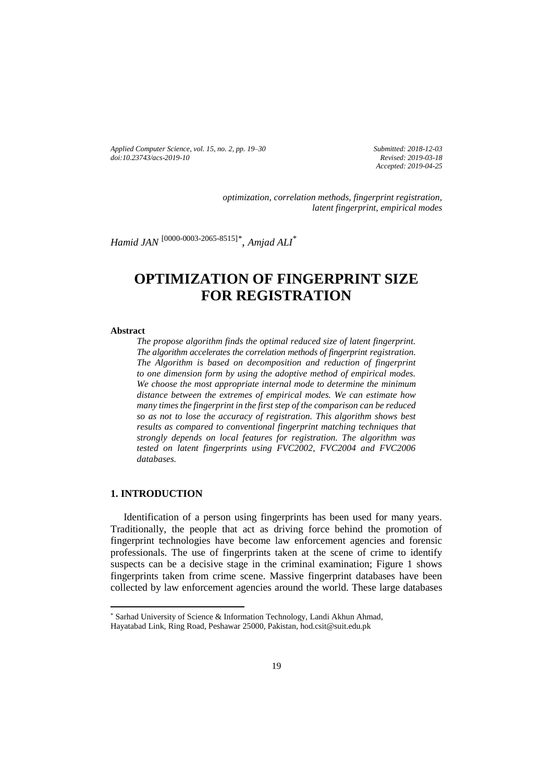*Applied Computer Science, vol. 15, no. 2, pp. 19–30 [doi:10.23743/acs-2019-10](http://acs.pollub.pl/pdf/v15n2/2.pdf)*

*Submitted: 2018-12-03 Revised: 2019-03-18 Accepted: 2019-04-25*

*optimization, correlation methods, fingerprint registration, latent fingerprint, empirical modes*

*Hamid JAN* [\[0000-0003-2065-8515\]](https://orcid.org/0000-0003-2065-8515)*\* , Amjad ALI\**

# **OPTIMIZATION OF FINGERPRINT SIZE FOR REGISTRATION**

#### **Abstract**

*The propose algorithm finds the optimal reduced size of latent fingerprint. The algorithm accelerates the correlation methods of fingerprint registration. The Algorithm is based on decomposition and reduction of fingerprint to one dimension form by using the adoptive method of empirical modes. We choose the most appropriate internal mode to determine the minimum distance between the extremes of empirical modes. We can estimate how many times the fingerprint in the first step of the comparison can be reduced so as not to lose the accuracy of registration. This algorithm shows best results as compared to conventional fingerprint matching techniques that strongly depends on local features for registration. The algorithm was tested on latent fingerprints using FVC2002, FVC2004 and FVC2006 databases.*

# **1. INTRODUCTION**

 $\overline{\phantom{a}}$ 

Identification of a person using fingerprints has been used for many years. Traditionally, the people that act as driving force behind the promotion of fingerprint technologies have become law enforcement agencies and forensic professionals. The use of fingerprints taken at the scene of crime to identify suspects can be a decisive stage in the criminal examination; Figure 1 shows fingerprints taken from crime scene. Massive fingerprint databases have been collected by law enforcement agencies around the world. These large databases

<sup>\*</sup> Sarhad University of Science & Information Technology, Landi Akhun Ahmad, Hayatabad Link, Ring Road, Peshawar 25000, Pakistan, hod.csit@suit.edu.pk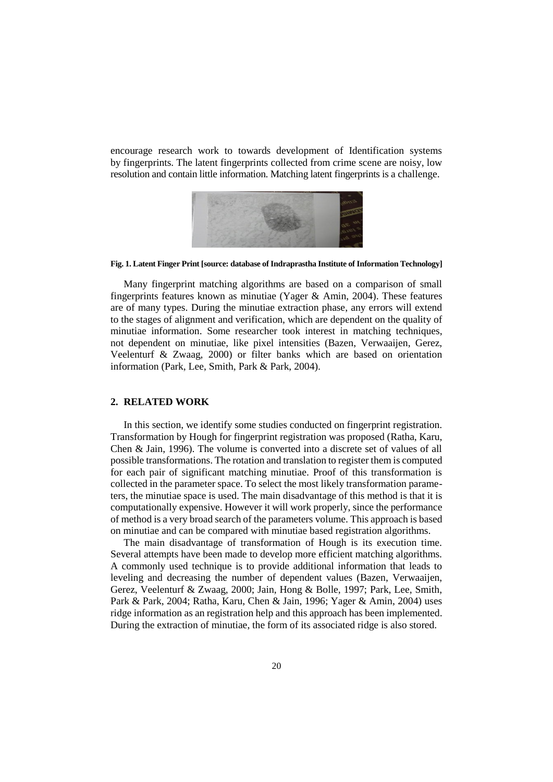encourage research work to towards development of Identification systems by fingerprints. The latent fingerprints collected from crime scene are noisy, low resolution and contain little information. Matching latent fingerprints is a challenge.



**Fig. 1. Latent Finger Print [source: database of Indraprastha Institute of Information Technology]**

Many fingerprint matching algorithms are based on a comparison of small fingerprints features known as minutiae (Yager & Amin, 2004). These features are of many types. During the minutiae extraction phase, any errors will extend to the stages of alignment and verification, which are dependent on the quality of minutiae information. Some researcher took interest in matching techniques, not dependent on minutiae, like pixel intensities (Bazen, Verwaaijen, Gerez, Veelenturf & Zwaag, 2000) or filter banks which are based on orientation information (Park, Lee, Smith, Park & Park, 2004).

# **2. RELATED WORK**

In this section, we identify some studies conducted on fingerprint registration. Transformation by Hough for fingerprint registration was proposed (Ratha, Karu, Chen & Jain, 1996). The volume is converted into a discrete set of values of all possible transformations. The rotation and translation to register them is computed for each pair of significant matching minutiae. Proof of this transformation is collected in the parameter space. To select the most likely transformation parameters, the minutiae space is used. The main disadvantage of this method is that it is computationally expensive. However it will work properly, since the performance of method is a very broad search of the parameters volume. This approach is based on minutiae and can be compared with minutiae based registration algorithms.

The main disadvantage of transformation of Hough is its execution time. Several attempts have been made to develop more efficient matching algorithms. A commonly used technique is to provide additional information that leads to leveling and decreasing the number of dependent values (Bazen, Verwaaijen, Gerez, Veelenturf & Zwaag, 2000; Jain, Hong & Bolle, 1997; Park, Lee, Smith, Park & Park, 2004; Ratha, Karu, Chen & Jain, 1996; Yager & Amin, 2004) uses ridge information as an registration help and this approach has been implemented. During the extraction of minutiae, the form of its associated ridge is also stored.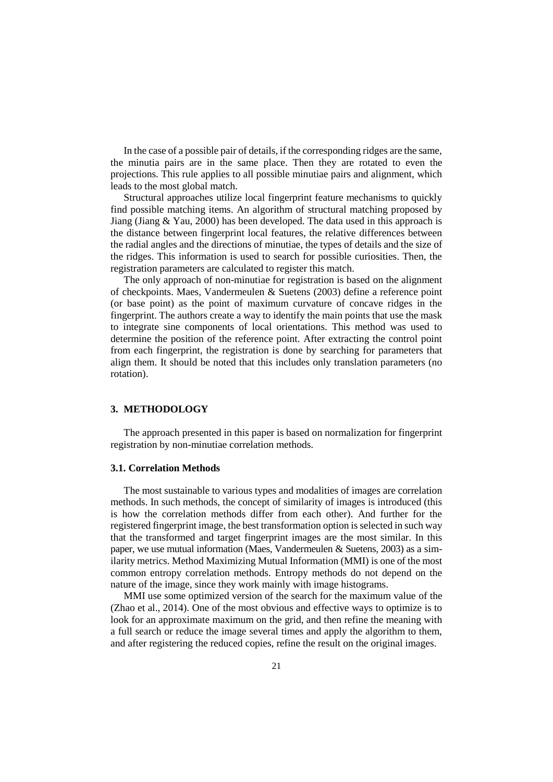In the case of a possible pair of details, if the corresponding ridges are the same, the minutia pairs are in the same place. Then they are rotated to even the projections. This rule applies to all possible minutiae pairs and alignment, which leads to the most global match.

Structural approaches utilize local fingerprint feature mechanisms to quickly find possible matching items. An algorithm of structural matching proposed by Jiang (Jiang  $& Y$ au, 2000) has been developed. The data used in this approach is the distance between fingerprint local features, the relative differences between the radial angles and the directions of minutiae, the types of details and the size of the ridges. This information is used to search for possible curiosities. Then, the registration parameters are calculated to register this match.

The only approach of non-minutiae for registration is based on the alignment of checkpoints. Maes, Vandermeulen & Suetens (2003) define a reference point (or base point) as the point of maximum curvature of concave ridges in the fingerprint. The authors create a way to identify the main points that use the mask to integrate sine components of local orientations. This method was used to determine the position of the reference point. After extracting the control point from each fingerprint, the registration is done by searching for parameters that align them. It should be noted that this includes only translation parameters (no rotation).

#### **3. METHODOLOGY**

The approach presented in this paper is based on normalization for fingerprint registration by non-minutiae correlation methods.

#### **3.1. Correlation Methods**

The most sustainable to various types and modalities of images are correlation methods. In such methods, the concept of similarity of images is introduced (this is how the correlation methods differ from each other). And further for the registered fingerprint image, the best transformation option is selected in such way that the transformed and target fingerprint images are the most similar. In this paper, we use mutual information (Maes, Vandermeulen  $&$  Suetens, 2003) as a similarity metrics. Method Maximizing Mutual Information (MMI) is one of the most common entropy correlation methods. Entropy methods do not depend on the nature of the image, since they work mainly with image histograms.

MMI use some optimized version of the search for the maximum value of the (Zhao et al., 2014). One of the most obvious and effective ways to optimize is to look for an approximate maximum on the grid, and then refine the meaning with a full search or reduce the image several times and apply the algorithm to them, and after registering the reduced copies, refine the result on the original images.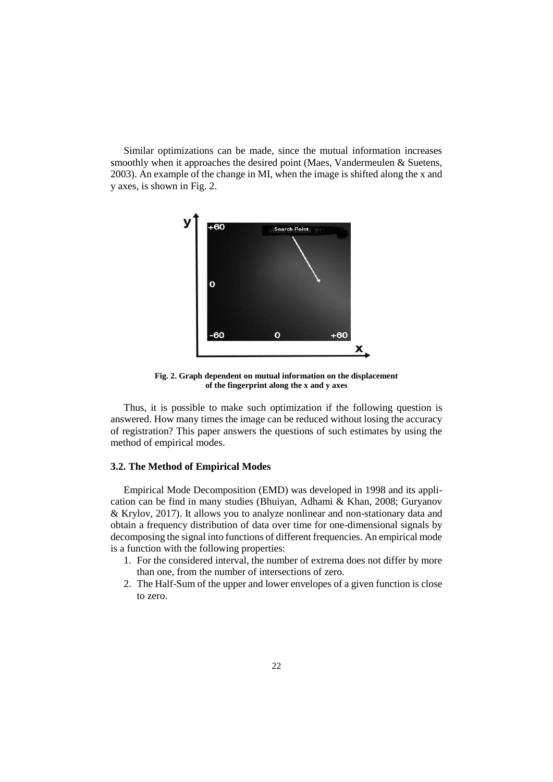Similar optimizations can be made, since the mutual information increases smoothly when it approaches the desired point (Maes, Vandermeulen & Suetens, 2003). An example of the change in MI, when the image is shifted along the x and y axes, is shown in Fig. 2.



**Fig. 2. Graph dependent on mutual information on the displacement of the fingerprint along the x and y axes**

Thus, it is possible to make such optimization if the following question is answered. How many times the image can be reduced without losing the accuracy of registration? This paper answers the questions of such estimates by using the method of empirical modes.

# **3.2. The Method of Empirical Modes**

Empirical Mode Decomposition (EMD) was developed in 1998 and its application can be find in many studies (Bhuiyan, Adhami & Khan, 2008; Guryanov & Krylov, 2017). It allows you to analyze nonlinear and non-stationary data and obtain a frequency distribution of data over time for one-dimensional signals by decomposing the signal into functions of different frequencies. An empirical mode is a function with the following properties:

- 1. For the considered interval, the number of extrema does not differ by more than one, from the number of intersections of zero.
- 2. The Half-Sum of the upper and lower envelopes of a given function is close to zero.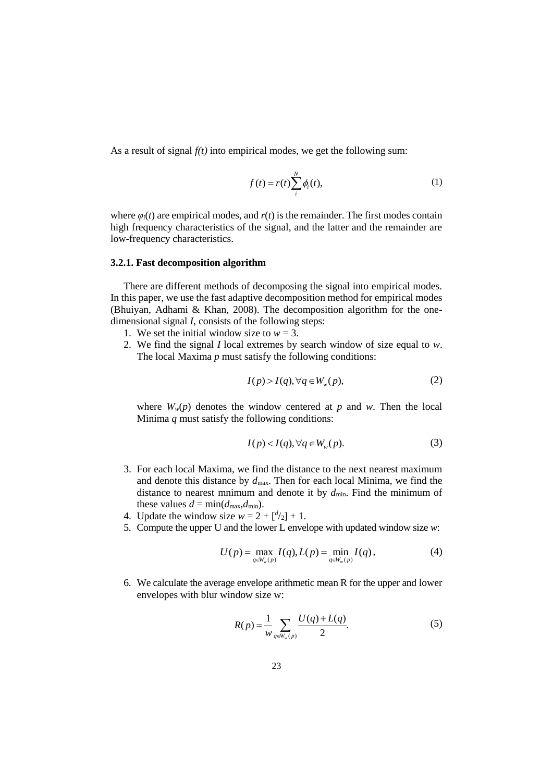As a result of signal  $f(t)$  into empirical modes, we get the following sum:

$$
f(t) = r(t) \sum_{i}^{N} \phi_i(t),
$$
 (1)

where  $\varphi_i(t)$  are empirical modes, and  $r(t)$  is the remainder. The first modes contain high frequency characteristics of the signal, and the latter and the remainder are low-frequency characteristics.

#### **3.2.1. Fast decomposition algorithm**

There are different methods of decomposing the signal into empirical modes. In this paper, we use the fast adaptive decomposition method for empirical modes (Bhuiyan, Adhami & Khan, 2008). The decomposition algorithm for the onedimensional signal *I*, consists of the following steps:

- 1. We set the initial window size to  $w = 3$ .
- 2. We find the signal *I* local extremes by search window of size equal to *w*. The local Maxima *p* must satisfy the following conditions:

$$
I(p) > I(q), \forall q \in W_w(p),
$$
 (2)

where  $W_w(p)$  denotes the window centered at  $p$  and  $w$ . Then the local Minima *q* must satisfy the following conditions:

$$
I(p) < I(q), \forall q \in W_w(p). \tag{3}
$$

- 3. For each local Maxima, we find the distance to the next nearest maximum and denote this distance by *d*max. Then for each local Minima, we find the distance to nearest mnimum and denote it by  $d_{\text{min}}$ . Find the minimum of these values  $d = \min(d_{\max}, d_{\min})$ .
- 4. Update the window size  $w = 2 + \binom{d}{2} + 1$ .
- 5. Compute the upper U and the lower L envelope with updated window size *w*:

$$
U(p) = \max_{q \in W_w(p)} I(q), L(p) = \min_{q \in W_w(p)} I(q),
$$
 (4)

6. We calculate the average envelope arithmetic mean R for the upper and lower envelopes with blur window size w:

$$
R(p) = \frac{1}{w} \sum_{q \in W_w(p)} \frac{U(q) + L(q)}{2}.
$$
 (5)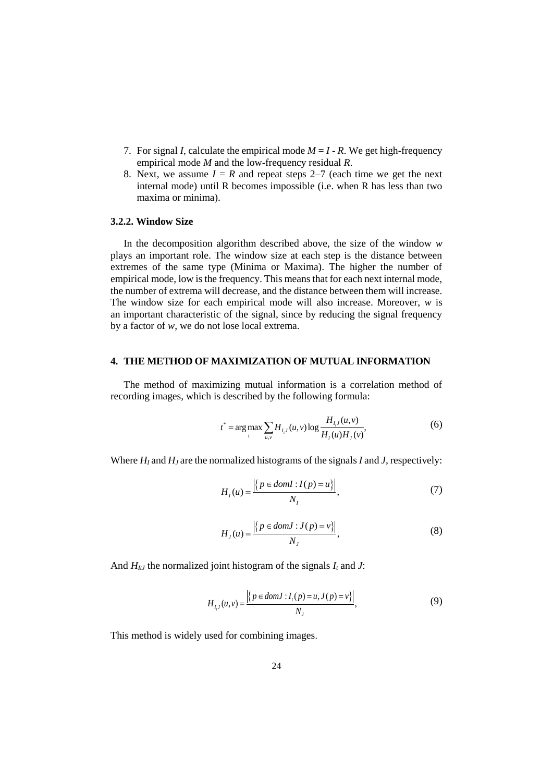- 7. For signal *I*, calculate the empirical mode  $M = I R$ . We get high-frequency empirical mode *M* and the low-frequency residual *R*.
- 8. Next, we assume  $I = R$  and repeat steps 2–7 (each time we get the next internal mode) until R becomes impossible (i.e. when R has less than two maxima or minima).

# **3.2.2. Window Size**

In the decomposition algorithm described above, the size of the window *w* plays an important role. The window size at each step is the distance between extremes of the same type (Minima or Maxima). The higher the number of empirical mode, low is the frequency. This means that for each next internal mode, the number of extrema will decrease, and the distance between them will increase. The window size for each empirical mode will also increase. Moreover, *w* is an important characteristic of the signal, since by reducing the signal frequency by a factor of *w*, we do not lose local extrema.

# **4. THE METHOD OF MAXIMIZATION OF MUTUAL INFORMATION**

The method of maximizing mutual information is a correlation method of recording images, which is described by the following formula:

$$
t^* = \arg \max_{t} \sum_{u,v} H_{I,J}(u,v) \log \frac{H_{I,J}(u,v)}{H_{I}(u)H_{J}(v)},
$$
(6)

Where *H<sup>I</sup>* and *H<sup>J</sup>* are the normalized histograms of the signals *I* and *J*, respectively:

$$
H_I(u) = \frac{\left| \left\{ p \in domI : I(p) = u \right\} \right|}{N_I},\tag{7}
$$

$$
H_J(u) = \frac{\left| \left\{ p \in domJ : J(p) = v \right\} \right|}{N_J},\tag{8}
$$

And  $H_{1}$ <sup>*I*</sup> the normalized joint histogram of the signals  $I_t$  and  $J$ :

$$
H_{I,J}(u,v) = \frac{\left| \left\{ p \in \text{dom} J : I_{I}(p) = u, J(p) = v \right\} \right|}{N_{J}},
$$
\n(9)

This method is widely used for combining images.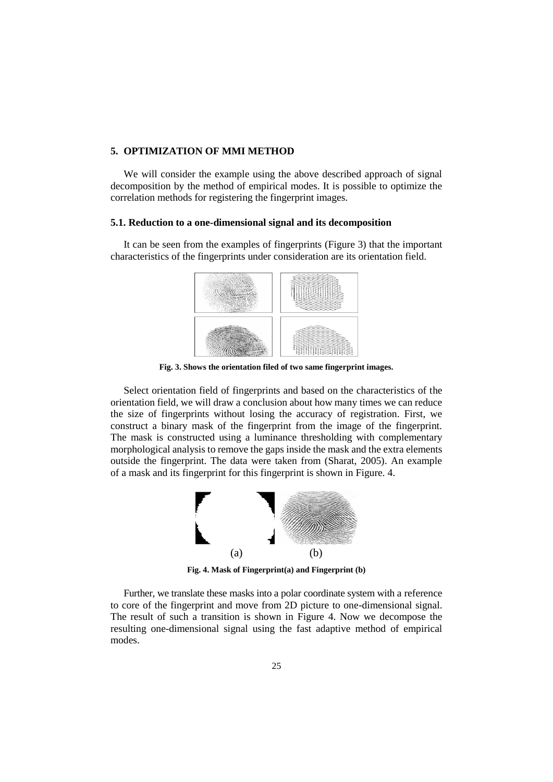### **5. OPTIMIZATION OF MMI METHOD**

We will consider the example using the above described approach of signal decomposition by the method of empirical modes. It is possible to optimize the correlation methods for registering the fingerprint images.

# **5.1. Reduction to a one-dimensional signal and its decomposition**

It can be seen from the examples of fingerprints (Figure 3) that the important characteristics of the fingerprints under consideration are its orientation field.



**Fig. 3. Shows the orientation filed of two same fingerprint images.**

Select orientation field of fingerprints and based on the characteristics of the orientation field, we will draw a conclusion about how many times we can reduce the size of fingerprints without losing the accuracy of registration. First, we construct a binary mask of the fingerprint from the image of the fingerprint. The mask is constructed using a luminance thresholding with complementary morphological analysis to remove the gaps inside the mask and the extra elements outside the fingerprint. The data were taken from (Sharat, 2005). An example of a mask and its fingerprint for this fingerprint is shown in Figure. 4.



**Fig. 4. Mask of Fingerprint(a) and Fingerprint (b)**

Further, we translate these masks into a polar coordinate system with a reference to core of the fingerprint and move from 2D picture to one-dimensional signal. The result of such a transition is shown in Figure 4. Now we decompose the resulting one-dimensional signal using the fast adaptive method of empirical modes.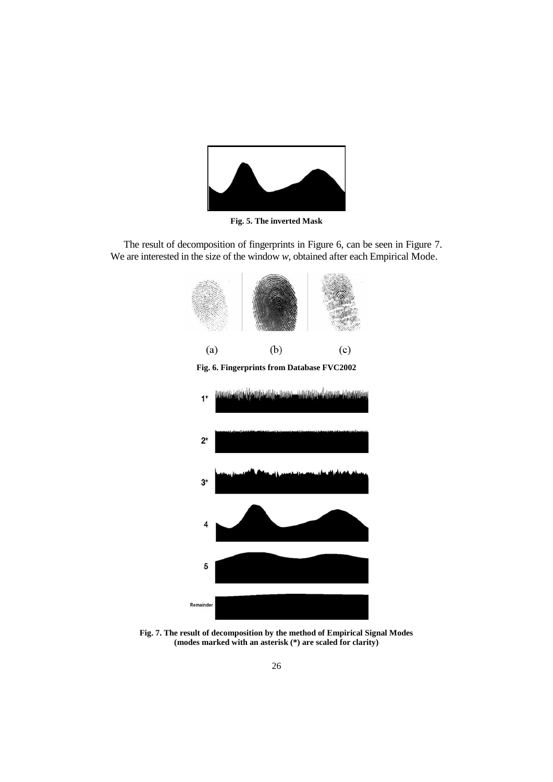

**Fig. 5. The inverted Mask**

The result of decomposition of fingerprints in Figure 6, can be seen in Figure 7. We are interested in the size of the window *w*, obtained after each Empirical Mode.



**Fig. 7. The result of decomposition by the method of Empirical Signal Modes (modes marked with an asterisk (\*) are scaled for clarity)**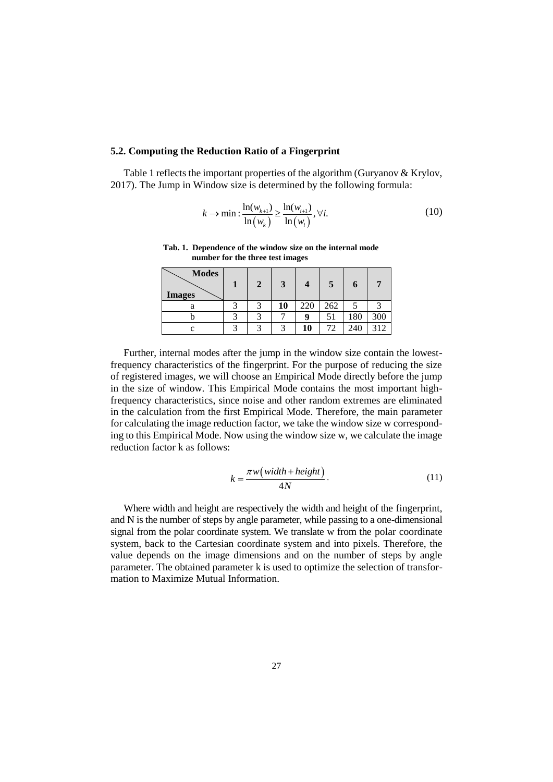### **5.2. Computing the Reduction Ratio of a Fingerprint**

Table 1 reflects the important properties of the algorithm (Guryanov & Krylov, 2017). The Jump in Window size is determined by the following formula:

$$
k \to \min : \frac{\ln(w_{k+1})}{\ln(w_k)} \ge \frac{\ln(w_{i+1})}{\ln(w_i)}, \forall i. \tag{10}
$$

**Tab. 1. Dependence of the window size on the internal mode number for the three test images**

| <b>Modes</b><br><b>Images</b> |            | 3  |     | $\mathbf{5}$ |     |     |
|-------------------------------|------------|----|-----|--------------|-----|-----|
| ä                             |            | 10 | 220 | 262          |     |     |
|                               |            |    | q   | 51           | 180 | 300 |
|                               | $\sqrt{2}$ |    | 10  | 72           | 240 | 312 |

Further, internal modes after the jump in the window size contain the lowestfrequency characteristics of the fingerprint. For the purpose of reducing the size of registered images, we will choose an Empirical Mode directly before the jump in the size of window. This Empirical Mode contains the most important highfrequency characteristics, since noise and other random extremes are eliminated in the calculation from the first Empirical Mode. Therefore, the main parameter for calculating the image reduction factor, we take the window size w corresponding to this Empirical Mode. Now using the window size w, we calculate the image reduction factor k as follows:

$$
k = \frac{\pi w \left(\text{width} + \text{height}\right)}{4N} \,. \tag{11}
$$

Where width and height are respectively the width and height of the fingerprint, and N is the number of steps by angle parameter, while passing to a one-dimensional signal from the polar coordinate system. We translate w from the polar coordinate system, back to the Cartesian coordinate system and into pixels. Therefore, the value depends on the image dimensions and on the number of steps by angle parameter. The obtained parameter k is used to optimize the selection of transformation to Maximize Mutual Information.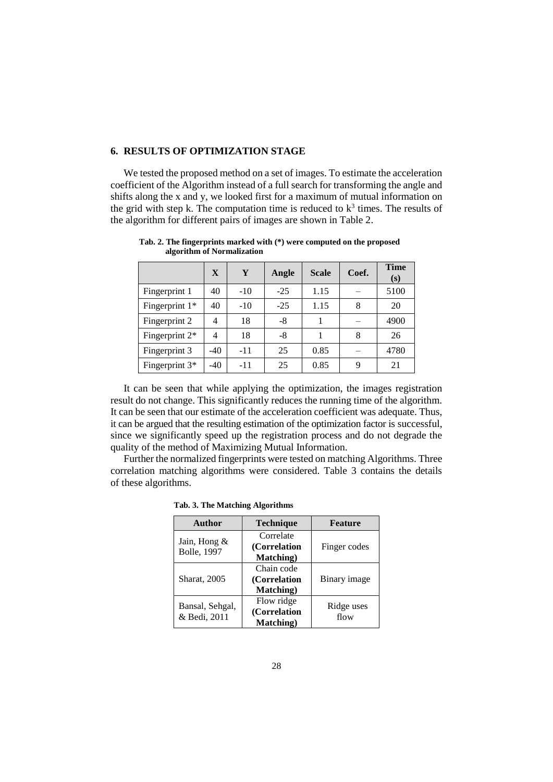# **6. RESULTS OF OPTIMIZATION STAGE**

We tested the proposed method on a set of images. To estimate the acceleration coefficient of the Algorithm instead of a full search for transforming the angle and shifts along the x and y, we looked first for a maximum of mutual information on the grid with step k. The computation time is reduced to  $k^3$  times. The results of the algorithm for different pairs of images are shown in Table 2.

|                  | $\mathbf{X}$ | Y     | Angle | <b>Scale</b> | Coef. | <b>Time</b><br>(s) |
|------------------|--------------|-------|-------|--------------|-------|--------------------|
| Fingerprint 1    | 40           | $-10$ | $-25$ | 1.15         |       | 5100               |
| Fingerprint $1*$ | 40           | $-10$ | $-25$ | 1.15         | 8     | 20                 |
| Fingerprint 2    | 4            | 18    | -8    |              |       | 4900               |
| Fingerprint $2*$ | 4            | 18    | -8    |              | 8     | 26                 |
| Fingerprint 3    | $-40$        | $-11$ | 25    | 0.85         |       | 4780               |
| Fingerprint $3*$ | $-40$        | -11   | 25    | 0.85         | 9     | 21                 |

**Tab. 2. The fingerprints marked with (\*) were computed on the proposed algorithm of Normalization**

It can be seen that while applying the optimization, the images registration result do not change. This significantly reduces the running time of the algorithm. It can be seen that our estimate of the acceleration coefficient was adequate. Thus, it can be argued that the resulting estimation of the optimization factor is successful, since we significantly speed up the registration process and do not degrade the quality of the method of Maximizing Mutual Information.

Further the normalized fingerprints were tested on matching Algorithms. Three correlation matching algorithms were considered. Table 3 contains the details of these algorithms.

 **Tab. 3. The Matching Algorithms** 

| Author                              | <b>Technique</b>          | <b>Feature</b>     |  |
|-------------------------------------|---------------------------|--------------------|--|
| Jain, Hong &<br><b>Bolle</b> , 1997 | Correlate<br>(Correlation | Finger codes       |  |
|                                     | <b>Matching</b> )         |                    |  |
| <b>Sharat</b> , 2005                | Chain code                | Binary image       |  |
|                                     | (Correlation              |                    |  |
|                                     | <b>Matching</b> )         |                    |  |
| Bansal, Sehgal,<br>& Bedi, 2011     | Flow ridge                | Ridge uses<br>flow |  |
|                                     | (Correlation              |                    |  |
|                                     | Matching)                 |                    |  |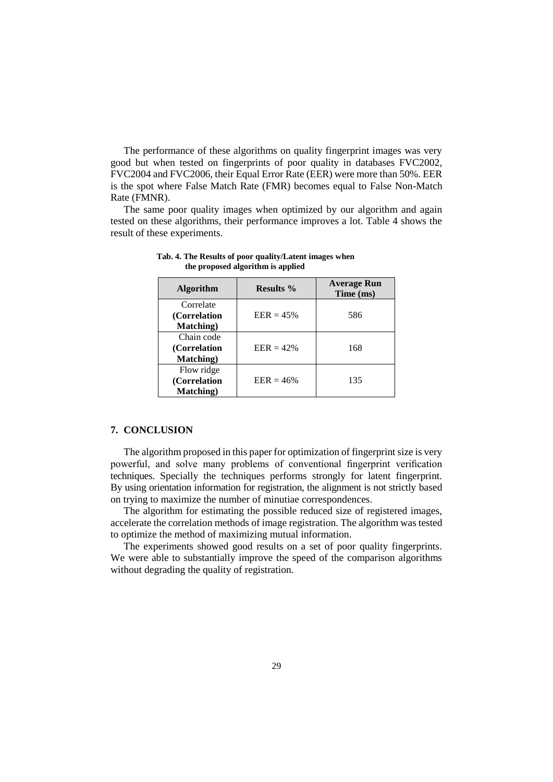The performance of these algorithms on quality fingerprint images was very good but when tested on fingerprints of poor quality in databases FVC2002, FVC2004 and FVC2006, their Equal Error Rate (EER) were more than 50%. EER is the spot where False Match Rate (FMR) becomes equal to False Non-Match Rate (FMNR).

The same poor quality images when optimized by our algorithm and again tested on these algorithms, their performance improves a lot. Table 4 shows the result of these experiments.

| <b>Algorithm</b>  | <b>Results</b> % | <b>Average Run</b><br>Time (ms) |  |
|-------------------|------------------|---------------------------------|--|
| Correlate         | $EER = 45%$      |                                 |  |
| (Correlation)     |                  | 586                             |  |
| <b>Matching</b> ) |                  |                                 |  |
| Chain code        |                  |                                 |  |
| (Correlation)     | $EER = 42\%$     | 168                             |  |
| <b>Matching</b> ) |                  |                                 |  |
| Flow ridge        |                  |                                 |  |
| (Correlation      | $EER = 46%$      | 135                             |  |
| Matching)         |                  |                                 |  |

**Tab. 4. The Results of poor quality/Latent images when the proposed algorithm is applied**

#### **7. CONCLUSION**

The algorithm proposed in this paper for optimization of fingerprint size is very powerful, and solve many problems of conventional fingerprint verification techniques. Specially the techniques performs strongly for latent fingerprint. By using orientation information for registration, the alignment is not strictly based on trying to maximize the number of minutiae correspondences.

The algorithm for estimating the possible reduced size of registered images, accelerate the correlation methods of image registration. The algorithm was tested to optimize the method of maximizing mutual information.

The experiments showed good results on a set of poor quality fingerprints. We were able to substantially improve the speed of the comparison algorithms without degrading the quality of registration.